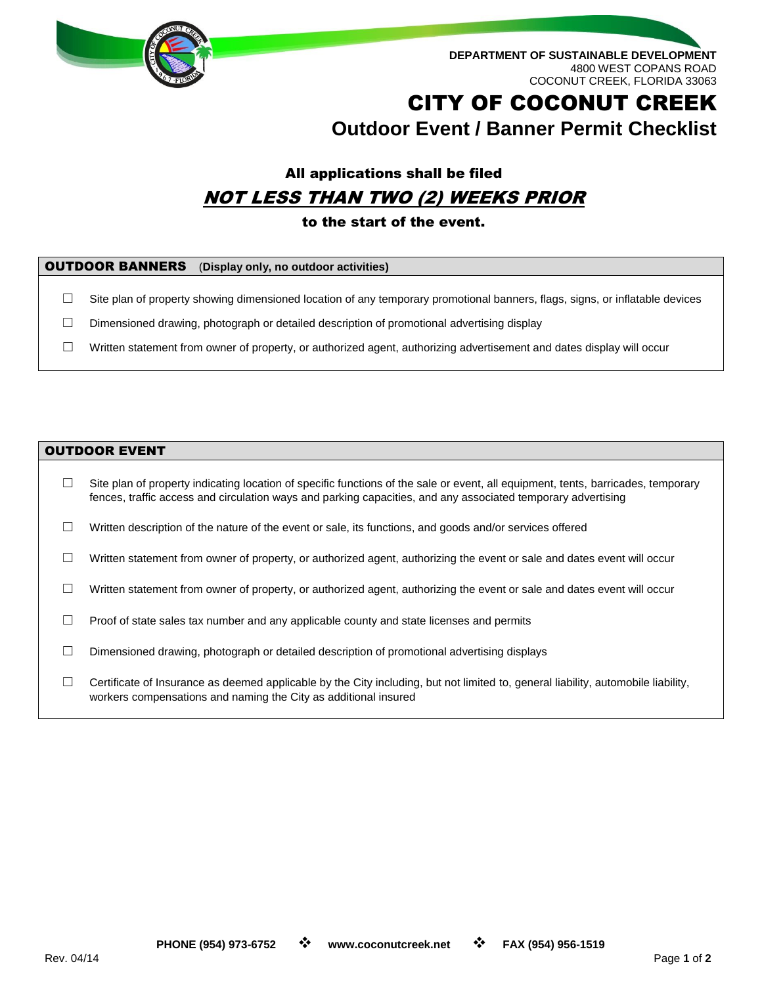

**DEPARTMENT OF SUSTAINABLE DEVELOPMENT** 4800 WEST COPANS ROAD COCONUT CREEK, FLORIDA 33063

# CITY OF COCONUT CREEK **Outdoor Event / Banner Permit Checklist**

### All applications shall be filed NOT LESS THAN TWO (2) WEEKS PRIOR

#### to the start of the event.

| <b>OUTDOOR BANNERS</b> (Display only, no outdoor activities) |
|--------------------------------------------------------------|
|                                                              |

 $\Box$  Site plan of property showing dimensioned location of any temporary promotional banners, flags, signs, or inflatable devices

 $\Box$  Dimensioned drawing, photograph or detailed description of promotional advertising display

☐ Written statement from owner of property, or authorized agent, authorizing advertisement and dates display will occur

#### OUTDOOR EVENT

☐ Site plan of property indicating location of specific functions of the sale or event, all equipment, tents, barricades, temporary fences, traffic access and circulation ways and parking capacities, and any associated temporary advertising  $\Box$  Written description of the nature of the event or sale, its functions, and goods and/or services offered  $\Box$  Written statement from owner of property, or authorized agent, authorizing the event or sale and dates event will occur  $\Box$  Written statement from owner of property, or authorized agent, authorizing the event or sale and dates event will occur  $\Box$  Proof of state sales tax number and any applicable county and state licenses and permits  $\Box$  Dimensioned drawing, photograph or detailed description of promotional advertising displays  $\Box$  Certificate of Insurance as deemed applicable by the City including, but not limited to, general liability, automobile liability, workers compensations and naming the City as additional insured